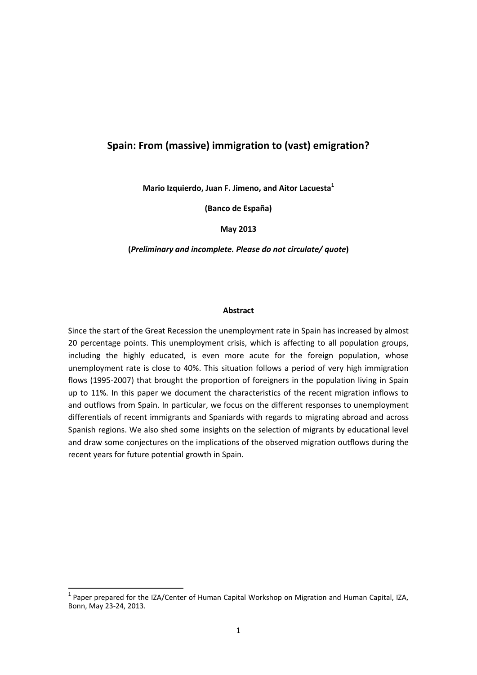# **Spain: From (massive) immigration to (vast) emigration?**

**Mario Izquierdo, Juan F. Jimeno, and Aitor Lacuesta<sup>1</sup>**

**(Banco de España)**

**May 2013**

**(***Preliminary and incomplete. Please do not circulate/ quote***)**

#### **Abstract**

Since the start of the Great Recession the unemployment rate in Spain has increased by almost 20 percentage points. This unemployment crisis, which is affecting to all population groups, including the highly educated, is even more acute for the foreign population, whose unemployment rate is close to 40%. This situation follows a period of very high immigration flows (1995-2007) that brought the proportion of foreigners in the population living in Spain up to 11%. In this paper we document the characteristics of the recent migration inflows to and outflows from Spain. In particular, we focus on the different responses to unemployment differentials of recent immigrants and Spaniards with regards to migrating abroad and across Spanish regions. We also shed some insights on the selection of migrants by educational level and draw some conjectures on the implications of the observed migration outflows during the recent years for future potential growth in Spain.

 1 Paper prepared for the IZA/Center of Human Capital Workshop on Migration and Human Capital, IZA, Bonn, May 23-24, 2013.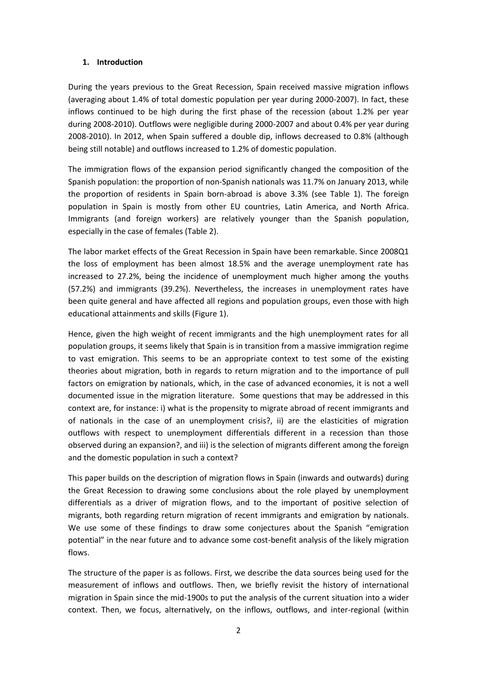### **1. Introduction**

During the years previous to the Great Recession, Spain received massive migration inflows (averaging about 1.4% of total domestic population per year during 2000-2007). In fact, these inflows continued to be high during the first phase of the recession (about 1.2% per year during 2008-2010). Outflows were negligible during 2000-2007 and about 0.4% per year during 2008-2010). In 2012, when Spain suffered a double dip, inflows decreased to 0.8% (although being still notable) and outflows increased to 1.2% of domestic population.

The immigration flows of the expansion period significantly changed the composition of the Spanish population: the proportion of non-Spanish nationals was 11.7% on January 2013, while the proportion of residents in Spain born-abroad is above 3.3% (see Table 1). The foreign population in Spain is mostly from other EU countries, Latin America, and North Africa. Immigrants (and foreign workers) are relatively younger than the Spanish population, especially in the case of females (Table 2).

The labor market effects of the Great Recession in Spain have been remarkable. Since 2008Q1 the loss of employment has been almost 18.5% and the average unemployment rate has increased to 27.2%, being the incidence of unemployment much higher among the youths (57.2%) and immigrants (39.2%). Nevertheless, the increases in unemployment rates have been quite general and have affected all regions and population groups, even those with high educational attainments and skills (Figure 1).

Hence, given the high weight of recent immigrants and the high unemployment rates for all population groups, it seems likely that Spain is in transition from a massive immigration regime to vast emigration. This seems to be an appropriate context to test some of the existing theories about migration, both in regards to return migration and to the importance of pull factors on emigration by nationals, which, in the case of advanced economies, it is not a well documented issue in the migration literature. Some questions that may be addressed in this context are, for instance: i) what is the propensity to migrate abroad of recent immigrants and of nationals in the case of an unemployment crisis?, ii) are the elasticities of migration outflows with respect to unemployment differentials different in a recession than those observed during an expansion?, and iii) is the selection of migrants different among the foreign and the domestic population in such a context?

This paper builds on the description of migration flows in Spain (inwards and outwards) during the Great Recession to drawing some conclusions about the role played by unemployment differentials as a driver of migration flows, and to the important of positive selection of migrants, both regarding return migration of recent immigrants and emigration by nationals. We use some of these findings to draw some conjectures about the Spanish "emigration potential" in the near future and to advance some cost-benefit analysis of the likely migration flows.

The structure of the paper is as follows. First, we describe the data sources being used for the measurement of inflows and outflows. Then, we briefly revisit the history of international migration in Spain since the mid-1900s to put the analysis of the current situation into a wider context. Then, we focus, alternatively, on the inflows, outflows, and inter-regional (within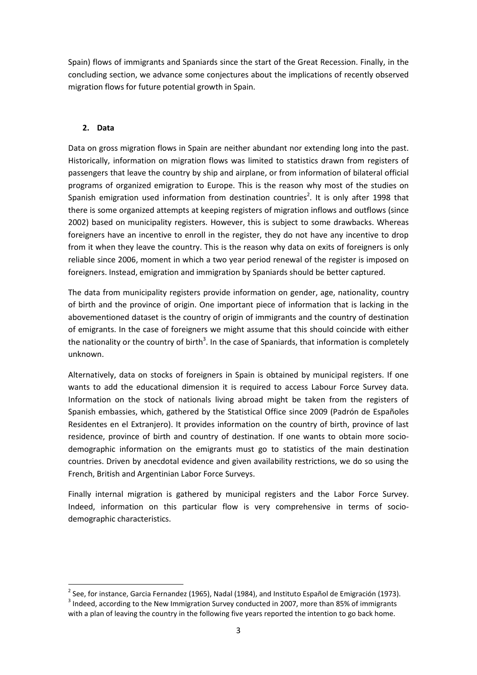Spain) flows of immigrants and Spaniards since the start of the Great Recession. Finally, in the concluding section, we advance some conjectures about the implications of recently observed migration flows for future potential growth in Spain.

# **2. Data**

Data on gross migration flows in Spain are neither abundant nor extending long into the past. Historically, information on migration flows was limited to statistics drawn from registers of passengers that leave the country by ship and airplane, or from information of bilateral official programs of organized emigration to Europe. This is the reason why most of the studies on Spanish emigration used information from destination countries<sup>2</sup>. It is only after 1998 that there is some organized attempts at keeping registers of migration inflows and outflows (since 2002) based on municipality registers. However, this is subject to some drawbacks. Whereas foreigners have an incentive to enroll in the register, they do not have any incentive to drop from it when they leave the country. This is the reason why data on exits of foreigners is only reliable since 2006, moment in which a two year period renewal of the register is imposed on foreigners. Instead, emigration and immigration by Spaniards should be better captured.

The data from municipality registers provide information on gender, age, nationality, country of birth and the province of origin. One important piece of information that is lacking in the abovementioned dataset is the country of origin of immigrants and the country of destination of emigrants. In the case of foreigners we might assume that this should coincide with either the nationality or the country of birth<sup>3</sup>. In the case of Spaniards, that information is completely unknown.

Alternatively, data on stocks of foreigners in Spain is obtained by municipal registers. If one wants to add the educational dimension it is required to access Labour Force Survey data. Information on the stock of nationals living abroad might be taken from the registers of Spanish embassies, which, gathered by the Statistical Office since 2009 (Padrón de Españoles Residentes en el Extranjero). It provides information on the country of birth, province of last residence, province of birth and country of destination. If one wants to obtain more sociodemographic information on the emigrants must go to statistics of the main destination countries. Driven by anecdotal evidence and given availability restrictions, we do so using the French, British and Argentinian Labor Force Surveys.

Finally internal migration is gathered by municipal registers and the Labor Force Survey. Indeed, information on this particular flow is very comprehensive in terms of sociodemographic characteristics.

**<sup>.</sup>**  $^{2}$  See, for instance, Garcia Fernandez (1965), Nadal (1984), and Instituto Español de Emigración (1973).

 $3$  Indeed, according to the New Immigration Survey conducted in 2007, more than 85% of immigrants with a plan of leaving the country in the following five years reported the intention to go back home.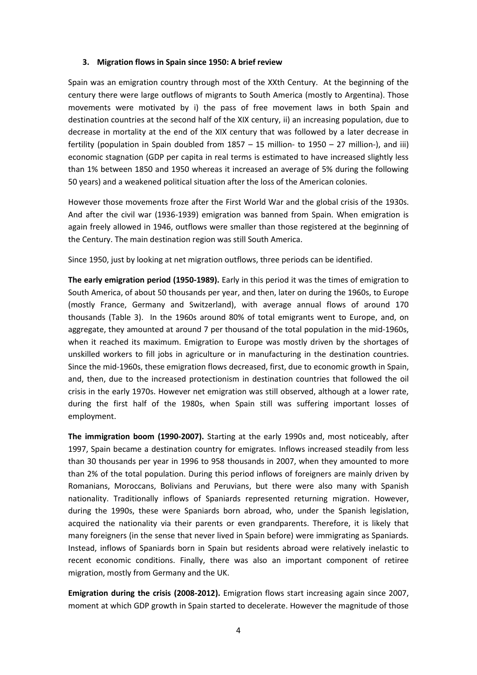#### **3. Migration flows in Spain since 1950: A brief review**

Spain was an emigration country through most of the XXth Century. At the beginning of the century there were large outflows of migrants to South America (mostly to Argentina). Those movements were motivated by i) the pass of free movement laws in both Spain and destination countries at the second half of the XIX century, ii) an increasing population, due to decrease in mortality at the end of the XIX century that was followed by a later decrease in fertility (population in Spain doubled from 1857 – 15 million- to 1950 – 27 million-), and iii) economic stagnation (GDP per capita in real terms is estimated to have increased slightly less than 1% between 1850 and 1950 whereas it increased an average of 5% during the following 50 years) and a weakened political situation after the loss of the American colonies.

However those movements froze after the First World War and the global crisis of the 1930s. And after the civil war (1936-1939) emigration was banned from Spain. When emigration is again freely allowed in 1946, outflows were smaller than those registered at the beginning of the Century. The main destination region was still South America.

Since 1950, just by looking at net migration outflows, three periods can be identified.

**The early emigration period (1950-1989).** Early in this period it was the times of emigration to South America, of about 50 thousands per year, and then, later on during the 1960s, to Europe (mostly France, Germany and Switzerland), with average annual flows of around 170 thousands (Table 3). In the 1960s around 80% of total emigrants went to Europe, and, on aggregate, they amounted at around 7 per thousand of the total population in the mid-1960s, when it reached its maximum. Emigration to Europe was mostly driven by the shortages of unskilled workers to fill jobs in agriculture or in manufacturing in the destination countries. Since the mid-1960s, these emigration flows decreased, first, due to economic growth in Spain, and, then, due to the increased protectionism in destination countries that followed the oil crisis in the early 1970s. However net emigration was still observed, although at a lower rate, during the first half of the 1980s, when Spain still was suffering important losses of employment.

**The immigration boom (1990-2007).** Starting at the early 1990s and, most noticeably, after 1997, Spain became a destination country for emigrates. Inflows increased steadily from less than 30 thousands per year in 1996 to 958 thousands in 2007, when they amounted to more than 2% of the total population. During this period inflows of foreigners are mainly driven by Romanians, Moroccans, Bolivians and Peruvians, but there were also many with Spanish nationality. Traditionally inflows of Spaniards represented returning migration. However, during the 1990s, these were Spaniards born abroad, who, under the Spanish legislation, acquired the nationality via their parents or even grandparents. Therefore, it is likely that many foreigners (in the sense that never lived in Spain before) were immigrating as Spaniards. Instead, inflows of Spaniards born in Spain but residents abroad were relatively inelastic to recent economic conditions. Finally, there was also an important component of retiree migration, mostly from Germany and the UK.

**Emigration during the crisis (2008-2012).** Emigration flows start increasing again since 2007, moment at which GDP growth in Spain started to decelerate. However the magnitude of those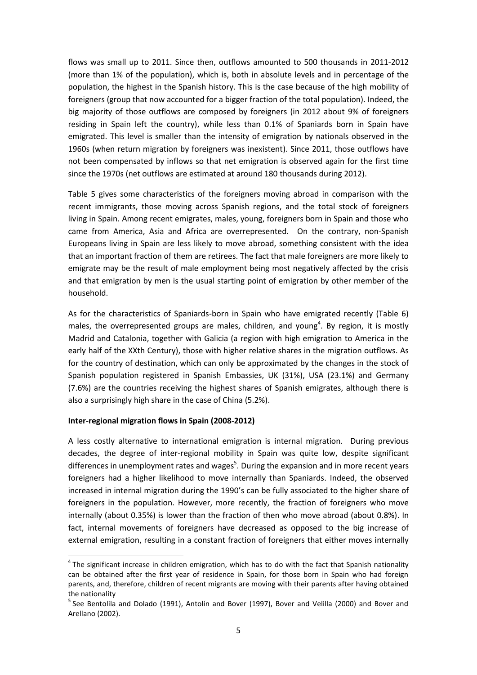flows was small up to 2011. Since then, outflows amounted to 500 thousands in 2011-2012 (more than 1% of the population), which is, both in absolute levels and in percentage of the population, the highest in the Spanish history. This is the case because of the high mobility of foreigners (group that now accounted for a bigger fraction of the total population). Indeed, the big majority of those outflows are composed by foreigners (in 2012 about 9% of foreigners residing in Spain left the country), while less than 0.1% of Spaniards born in Spain have emigrated. This level is smaller than the intensity of emigration by nationals observed in the 1960s (when return migration by foreigners was inexistent). Since 2011, those outflows have not been compensated by inflows so that net emigration is observed again for the first time since the 1970s (net outflows are estimated at around 180 thousands during 2012).

Table 5 gives some characteristics of the foreigners moving abroad in comparison with the recent immigrants, those moving across Spanish regions, and the total stock of foreigners living in Spain. Among recent emigrates, males, young, foreigners born in Spain and those who came from America, Asia and Africa are overrepresented. On the contrary, non-Spanish Europeans living in Spain are less likely to move abroad, something consistent with the idea that an important fraction of them are retirees. The fact that male foreigners are more likely to emigrate may be the result of male employment being most negatively affected by the crisis and that emigration by men is the usual starting point of emigration by other member of the household.

As for the characteristics of Spaniards-born in Spain who have emigrated recently (Table 6) males, the overrepresented groups are males, children, and young<sup>4</sup>. By region, it is mostly Madrid and Catalonia, together with Galicia (a region with high emigration to America in the early half of the XXth Century), those with higher relative shares in the migration outflows. As for the country of destination, which can only be approximated by the changes in the stock of Spanish population registered in Spanish Embassies, UK (31%), USA (23.1%) and Germany (7.6%) are the countries receiving the highest shares of Spanish emigrates, although there is also a surprisingly high share in the case of China (5.2%).

### **Inter-regional migration flows in Spain (2008-2012)**

**.** 

A less costly alternative to international emigration is internal migration. During previous decades, the degree of inter-regional mobility in Spain was quite low, despite significant differences in unemployment rates and wages<sup>5</sup>. During the expansion and in more recent years foreigners had a higher likelihood to move internally than Spaniards. Indeed, the observed increased in internal migration during the 1990's can be fully associated to the higher share of foreigners in the population. However, more recently, the fraction of foreigners who move internally (about 0.35%) is lower than the fraction of then who move abroad (about 0.8%). In fact, internal movements of foreigners have decreased as opposed to the big increase of external emigration, resulting in a constant fraction of foreigners that either moves internally

 $<sup>4</sup>$ The significant increase in children emigration, which has to do with the fact that Spanish nationality</sup> can be obtained after the first year of residence in Spain, for those born in Spain who had foreign parents, and, therefore, children of recent migrants are moving with their parents after having obtained the nationality

<sup>&</sup>lt;sup>5</sup> See Bentolila and Dolado (1991), Antolín and Bover (1997), Bover and Velilla (2000) and Bover and Arellano (2002).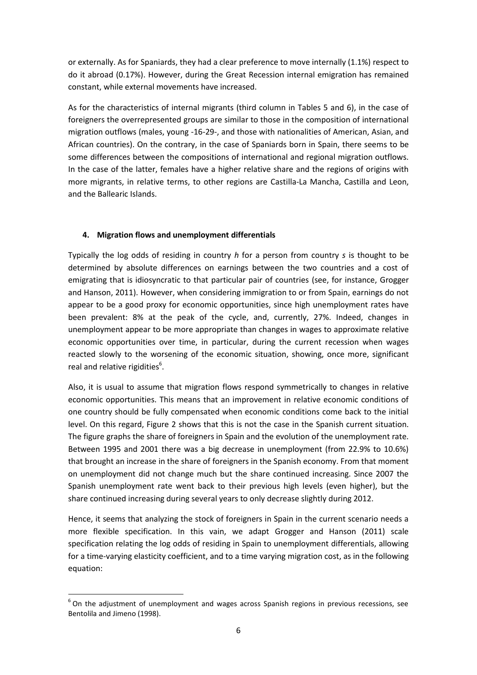or externally. As for Spaniards, they had a clear preference to move internally (1.1%) respect to do it abroad (0.17%). However, during the Great Recession internal emigration has remained constant, while external movements have increased.

As for the characteristics of internal migrants (third column in Tables 5 and 6), in the case of foreigners the overrepresented groups are similar to those in the composition of international migration outflows (males, young -16-29-, and those with nationalities of American, Asian, and African countries). On the contrary, in the case of Spaniards born in Spain, there seems to be some differences between the compositions of international and regional migration outflows. In the case of the latter, females have a higher relative share and the regions of origins with more migrants, in relative terms, to other regions are Castilla-La Mancha, Castilla and Leon, and the Ballearic Islands.

# **4. Migration flows and unemployment differentials**

Typically the log odds of residing in country *h* for a person from country *s* is thought to be determined by absolute differences on earnings between the two countries and a cost of emigrating that is idiosyncratic to that particular pair of countries (see, for instance, Grogger and Hanson, 2011). However, when considering immigration to or from Spain, earnings do not appear to be a good proxy for economic opportunities, since high unemployment rates have been prevalent: 8% at the peak of the cycle, and, currently, 27%. Indeed, changes in unemployment appear to be more appropriate than changes in wages to approximate relative economic opportunities over time, in particular, during the current recession when wages reacted slowly to the worsening of the economic situation, showing, once more, significant real and relative rigidities<sup>6</sup>.

Also, it is usual to assume that migration flows respond symmetrically to changes in relative economic opportunities. This means that an improvement in relative economic conditions of one country should be fully compensated when economic conditions come back to the initial level. On this regard, Figure 2 shows that this is not the case in the Spanish current situation. The figure graphs the share of foreigners in Spain and the evolution of the unemployment rate. Between 1995 and 2001 there was a big decrease in unemployment (from 22.9% to 10.6%) that brought an increase in the share of foreigners in the Spanish economy. From that moment on unemployment did not change much but the share continued increasing. Since 2007 the Spanish unemployment rate went back to their previous high levels (even higher), but the share continued increasing during several years to only decrease slightly during 2012.

Hence, it seems that analyzing the stock of foreigners in Spain in the current scenario needs a more flexible specification. In this vain, we adapt Grogger and Hanson (2011) scale specification relating the log odds of residing in Spain to unemployment differentials, allowing for a time-varying elasticity coefficient, and to a time varying migration cost, as in the following equation:

1

 $6$  On the adjustment of unemployment and wages across Spanish regions in previous recessions, see Bentolila and Jimeno (1998).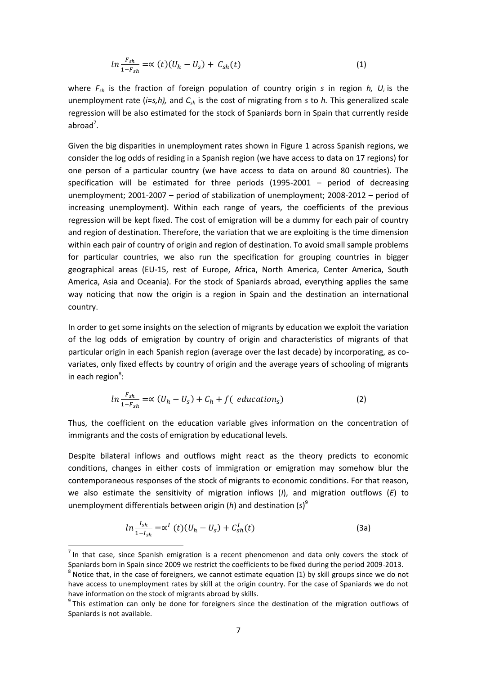$$
ln \frac{F_{sh}}{1 - F_{sh}} = \propto (t)(U_h - U_s) + C_{sh}(t)
$$
\n(1)

where *Fsh* is the fraction of foreign population of country origin *s* in region *h, U<sup>i</sup>* is the unemployment rate (*i=s,h),* and *Csh* is the cost of migrating from *s* to *h.* This generalized scale regression will be also estimated for the stock of Spaniards born in Spain that currently reside abroad<sup>7</sup>.

Given the big disparities in unemployment rates shown in Figure 1 across Spanish regions, we consider the log odds of residing in a Spanish region (we have access to data on 17 regions) for one person of a particular country (we have access to data on around 80 countries). The specification will be estimated for three periods (1995-2001 – period of decreasing unemployment; 2001-2007 – period of stabilization of unemployment; 2008-2012 – period of increasing unemployment). Within each range of years, the coefficients of the previous regression will be kept fixed. The cost of emigration will be a dummy for each pair of country and region of destination. Therefore, the variation that we are exploiting is the time dimension within each pair of country of origin and region of destination. To avoid small sample problems for particular countries, we also run the specification for grouping countries in bigger geographical areas (EU-15, rest of Europe, Africa, North America, Center America, South America, Asia and Oceania). For the stock of Spaniards abroad, everything applies the same way noticing that now the origin is a region in Spain and the destination an international country.

In order to get some insights on the selection of migrants by education we exploit the variation of the log odds of emigration by country of origin and characteristics of migrants of that particular origin in each Spanish region (average over the last decade) by incorporating, as covariates, only fixed effects by country of origin and the average years of schooling of migrants in each region<sup>8</sup>:

$$
ln \frac{F_{sh}}{1 - F_{sh}} = \propto (U_h - U_s) + C_h + f(\text{ education}_s)
$$
 (2)

Thus, the coefficient on the education variable gives information on the concentration of immigrants and the costs of emigration by educational levels.

Despite bilateral inflows and outflows might react as the theory predicts to economic conditions, changes in either costs of immigration or emigration may somehow blur the contemporaneous responses of the stock of migrants to economic conditions. For that reason, we also estimate the sensitivity of migration inflows (*I*), and migration outflows (*E*) to unemployment differentials between origin (*h*) and destination (*s*) 9

$$
ln \frac{I_{sh}}{1 - I_{sh}} = \alpha^{I} (t) (U_{h} - U_{s}) + C_{sh}^{I}(t)
$$
 (3a)

1

 $<sup>7</sup>$  In that case, since Spanish emigration is a recent phenomenon and data only covers the stock of</sup> Spaniards born in Spain since 2009 we restrict the coefficients to be fixed during the period 2009-2013.

 $^8$  Notice that, in the case of foreigners, we cannot estimate equation (1) by skill groups since we do not have access to unemployment rates by skill at the origin country. For the case of Spaniards we do not have information on the stock of migrants abroad by skills.

<sup>&</sup>lt;sup>9</sup> This estimation can only be done for foreigners since the destination of the migration outflows of Spaniards is not available.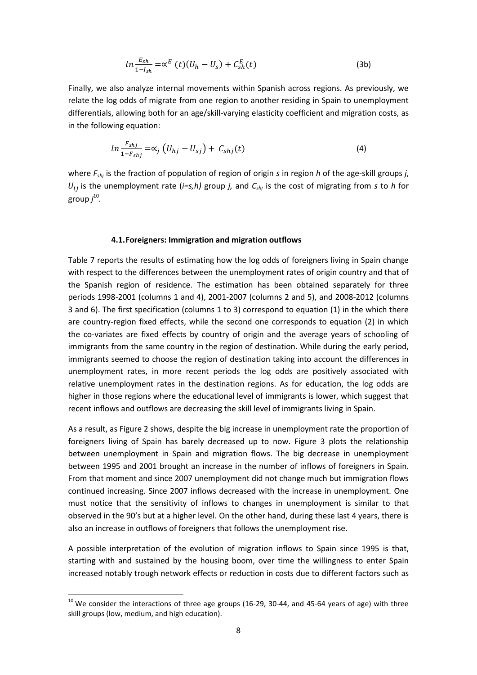$$
ln \frac{E_{sh}}{1 - I_{sh}} = \alpha^E \left( t \right) \left( U_h - U_s \right) + C_{sh}^E(t) \tag{3b}
$$

Finally, we also analyze internal movements within Spanish across regions. As previously, we relate the log odds of migrate from one region to another residing in Spain to unemployment differentials, allowing both for an age/skill-varying elasticity coefficient and migration costs, as in the following equation:

$$
ln \frac{F_{shj}}{1 - F_{shj}} = \alpha_j \left( U_{hj} - U_{sj} \right) + C_{shj}(t) \tag{4}
$$

where *Fshj* is the fraction of population of region of origin *s* in region *h* of the age-skill groups *j*,  $U_{ij}$  is the unemployment rate (*i=s,h*) group *j*, and  $C_{shj}$  is the cost of migrating from *s* to *h* for group *j* 10 *.*

#### **4.1.Foreigners: Immigration and migration outflows**

Table 7 reports the results of estimating how the log odds of foreigners living in Spain change with respect to the differences between the unemployment rates of origin country and that of the Spanish region of residence. The estimation has been obtained separately for three periods 1998-2001 (columns 1 and 4), 2001-2007 (columns 2 and 5), and 2008-2012 (columns 3 and 6). The first specification (columns 1 to 3) correspond to equation (1) in the which there are country-region fixed effects, while the second one corresponds to equation (2) in which the co-variates are fixed effects by country of origin and the average years of schooling of immigrants from the same country in the region of destination. While during the early period, immigrants seemed to choose the region of destination taking into account the differences in unemployment rates, in more recent periods the log odds are positively associated with relative unemployment rates in the destination regions. As for education, the log odds are higher in those regions where the educational level of immigrants is lower, which suggest that recent inflows and outflows are decreasing the skill level of immigrants living in Spain.

As a result, as Figure 2 shows, despite the big increase in unemployment rate the proportion of foreigners living of Spain has barely decreased up to now. Figure 3 plots the relationship between unemployment in Spain and migration flows. The big decrease in unemployment between 1995 and 2001 brought an increase in the number of inflows of foreigners in Spain. From that moment and since 2007 unemployment did not change much but immigration flows continued increasing. Since 2007 inflows decreased with the increase in unemployment. One must notice that the sensitivity of inflows to changes in unemployment is similar to that observed in the 90's but at a higher level. On the other hand, during these last 4 years, there is also an increase in outflows of foreigners that follows the unemployment rise.

A possible interpretation of the evolution of migration inflows to Spain since 1995 is that, starting with and sustained by the housing boom, over time the willingness to enter Spain increased notably trough network effects or reduction in costs due to different factors such as

1

 $^{10}$  We consider the interactions of three age groups (16-29, 30-44, and 45-64 years of age) with three skill groups (low, medium, and high education).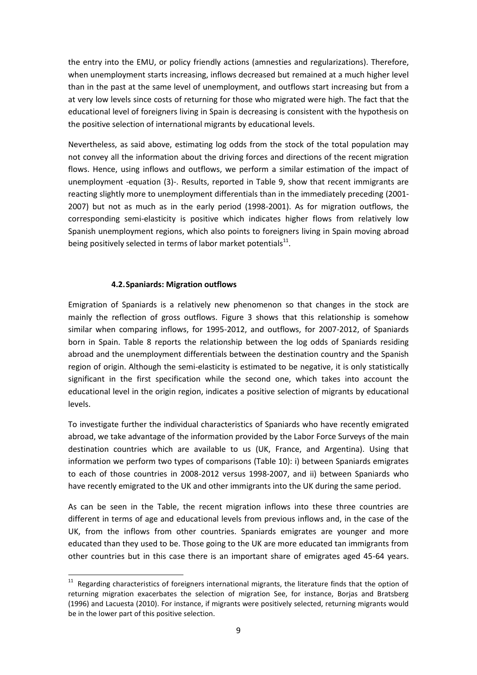the entry into the EMU, or policy friendly actions (amnesties and regularizations). Therefore, when unemployment starts increasing, inflows decreased but remained at a much higher level than in the past at the same level of unemployment, and outflows start increasing but from a at very low levels since costs of returning for those who migrated were high. The fact that the educational level of foreigners living in Spain is decreasing is consistent with the hypothesis on the positive selection of international migrants by educational levels.

Nevertheless, as said above, estimating log odds from the stock of the total population may not convey all the information about the driving forces and directions of the recent migration flows. Hence, using inflows and outflows, we perform a similar estimation of the impact of unemployment -equation (3)-. Results, reported in Table 9, show that recent immigrants are reacting slightly more to unemployment differentials than in the immediately preceding (2001- 2007) but not as much as in the early period (1998-2001). As for migration outflows, the corresponding semi-elasticity is positive which indicates higher flows from relatively low Spanish unemployment regions, which also points to foreigners living in Spain moving abroad being positively selected in terms of labor market potentials $^{11}$ .

### **4.2.Spaniards: Migration outflows**

1

Emigration of Spaniards is a relatively new phenomenon so that changes in the stock are mainly the reflection of gross outflows. Figure 3 shows that this relationship is somehow similar when comparing inflows, for 1995-2012, and outflows, for 2007-2012, of Spaniards born in Spain. Table 8 reports the relationship between the log odds of Spaniards residing abroad and the unemployment differentials between the destination country and the Spanish region of origin. Although the semi-elasticity is estimated to be negative, it is only statistically significant in the first specification while the second one, which takes into account the educational level in the origin region, indicates a positive selection of migrants by educational levels.

To investigate further the individual characteristics of Spaniards who have recently emigrated abroad, we take advantage of the information provided by the Labor Force Surveys of the main destination countries which are available to us (UK, France, and Argentina). Using that information we perform two types of comparisons (Table 10): i) between Spaniards emigrates to each of those countries in 2008-2012 versus 1998-2007, and ii) between Spaniards who have recently emigrated to the UK and other immigrants into the UK during the same period.

As can be seen in the Table, the recent migration inflows into these three countries are different in terms of age and educational levels from previous inflows and, in the case of the UK, from the inflows from other countries. Spaniards emigrates are younger and more educated than they used to be. Those going to the UK are more educated tan immigrants from other countries but in this case there is an important share of emigrates aged 45-64 years.

 $11$  Regarding characteristics of foreigners international migrants, the literature finds that the option of returning migration exacerbates the selection of migration See, for instance. Borias and Bratsberg (1996) and Lacuesta (2010). For instance, if migrants were positively selected, returning migrants would be in the lower part of this positive selection.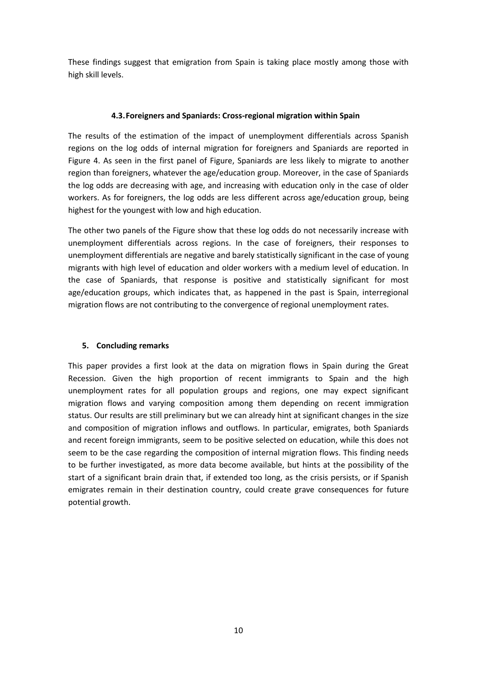These findings suggest that emigration from Spain is taking place mostly among those with high skill levels.

### **4.3.Foreigners and Spaniards: Cross-regional migration within Spain**

The results of the estimation of the impact of unemployment differentials across Spanish regions on the log odds of internal migration for foreigners and Spaniards are reported in Figure 4. As seen in the first panel of Figure, Spaniards are less likely to migrate to another region than foreigners, whatever the age/education group. Moreover, in the case of Spaniards the log odds are decreasing with age, and increasing with education only in the case of older workers. As for foreigners, the log odds are less different across age/education group, being highest for the youngest with low and high education.

The other two panels of the Figure show that these log odds do not necessarily increase with unemployment differentials across regions. In the case of foreigners, their responses to unemployment differentials are negative and barely statistically significant in the case of young migrants with high level of education and older workers with a medium level of education. In the case of Spaniards, that response is positive and statistically significant for most age/education groups, which indicates that, as happened in the past is Spain, interregional migration flows are not contributing to the convergence of regional unemployment rates.

# **5. Concluding remarks**

This paper provides a first look at the data on migration flows in Spain during the Great Recession. Given the high proportion of recent immigrants to Spain and the high unemployment rates for all population groups and regions, one may expect significant migration flows and varying composition among them depending on recent immigration status. Our results are still preliminary but we can already hint at significant changes in the size and composition of migration inflows and outflows. In particular, emigrates, both Spaniards and recent foreign immigrants, seem to be positive selected on education, while this does not seem to be the case regarding the composition of internal migration flows. This finding needs to be further investigated, as more data become available, but hints at the possibility of the start of a significant brain drain that, if extended too long, as the crisis persists, or if Spanish emigrates remain in their destination country, could create grave consequences for future potential growth.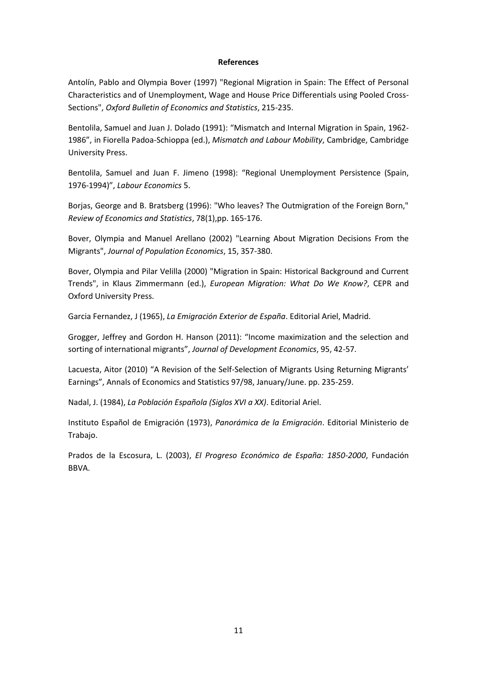#### **References**

Antolín, Pablo and Olympia Bover (1997) "Regional Migration in Spain: The Effect of Personal Characteristics and of Unemployment, Wage and House Price Differentials using Pooled Cross-Sections", *Oxford Bulletin of Economics and Statistics*, 215-235.

Bentolila, Samuel and Juan J. Dolado (1991): "Mismatch and Internal Migration in Spain, 1962- 1986", in Fiorella Padoa-Schioppa (ed.), *Mismatch and Labour Mobility*, Cambridge, Cambridge University Press.

Bentolila, Samuel and Juan F. Jimeno (1998): "Regional Unemployment Persistence (Spain, 1976-1994)", *Labour Economics* 5.

Borjas, George and B. Bratsberg (1996): "Who leaves? The Outmigration of the Foreign Born," *Review of Economics and Statistics*, 78(1),pp. 165-176.

Bover, Olympia and Manuel Arellano (2002) "Learning About Migration Decisions From the Migrants", *Journal of Population Economics*, 15, 357-380.

Bover, Olympia and Pilar Velilla (2000) "Migration in Spain: Historical Background and Current Trends", in Klaus Zimmermann (ed.), *European Migration: What Do We Know?*, CEPR and Oxford University Press.

Garcia Fernandez, J (1965), *La Emigración Exterior de España*. Editorial Ariel, Madrid.

Grogger, Jeffrey and Gordon H. Hanson (2011): "Income maximization and the selection and sorting of international migrants", *Journal of Development Economics*, 95, 42-57.

Lacuesta, Aitor (2010) "A Revision of the Self-Selection of Migrants Using Returning Migrants' Earnings", Annals of Economics and Statistics 97/98, January/June. pp. 235-259.

Nadal, J. (1984), *La Población Española (Siglos XVI a XX)*. Editorial Ariel.

Instituto Español de Emigración (1973), *Panorámica de la Emigración*. Editorial Ministerio de Trabajo.

Prados de la Escosura, L. (2003), *El Progreso Económico de España: 1850-2000*, Fundación BBVA.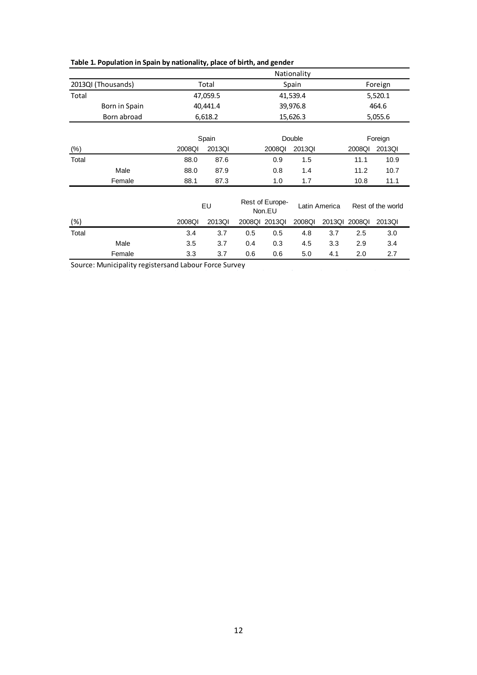|        |                    |        |                                                  |        |                  | Nationality |                   |         |         |  |
|--------|--------------------|--------|--------------------------------------------------|--------|------------------|-------------|-------------------|---------|---------|--|
|        | 2013QI (Thousands) |        | Total                                            |        | Spain            |             |                   |         | Foreign |  |
| Total  |                    |        | 47,059.5                                         |        |                  | 41,539.4    |                   | 5,520.1 |         |  |
|        | Born in Spain      |        | 40,441.4                                         |        |                  | 39,976.8    |                   |         | 464.6   |  |
|        | Born abroad        |        | 6,618.2                                          |        | 15,626.3         |             |                   |         | 5,055.6 |  |
|        |                    |        | Spain                                            | Double |                  |             |                   | Foreign |         |  |
| $(\%)$ |                    | 2008QI | 2013QI                                           |        | 2013QI<br>2008QI |             |                   | 2008QI  | 2013QI  |  |
| Total  |                    | 88.0   | 87.6                                             |        | 0.9              | 1.5         |                   | 11.1    | 10.9    |  |
|        | Male               | 88.0   | 87.9                                             |        | 0.8              | 1.4         |                   | 11.2    | 10.7    |  |
|        | Female             | 88.1   | 87.3                                             |        | 1.0              | 1.7         |                   | 10.8    | 11.1    |  |
|        |                    |        | Rest of Europe-<br>EU<br>Latin America<br>Non.EU |        |                  |             | Rest of the world |         |         |  |
| (%)    |                    | 2008QI | 2013QI                                           |        | 2008QI 2013QI    | 2008Ql      | 2013QI            | 2008QI  | 2013QI  |  |
| Total  |                    | 3.4    | 3.7                                              | 0.5    | 0.5              | 4.8         | 3.7               | 2.5     | 3.0     |  |
|        | Male               | 3.5    | 3.7                                              | 0.4    | 0.3              | 4.5         | 3.3               | 2.9     | 3.4     |  |
|        | Female             | 3.3    | 3.7                                              | 0.6    | 0.6              | 5.0         | 4.1               | 2.0     | 2.7     |  |

# **Table 1. Population in Spain by nationality, place of birth, and gender**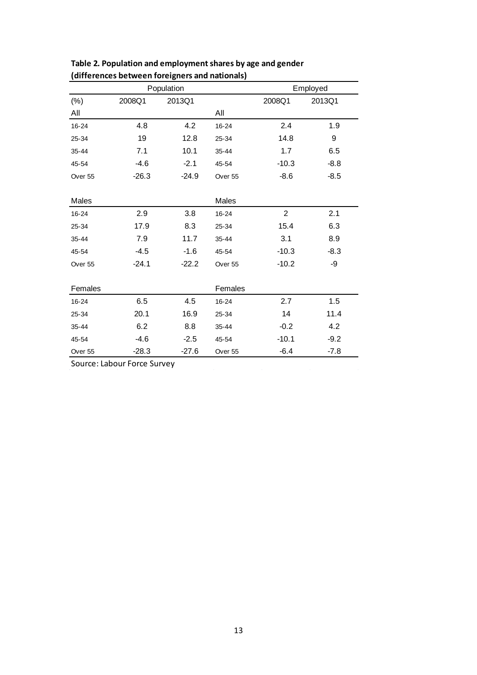| Population |         |         |         | Employed       |        |  |  |
|------------|---------|---------|---------|----------------|--------|--|--|
| $(\%)$     | 2008Q1  | 2013Q1  |         | 2008Q1         | 2013Q1 |  |  |
| All        |         |         | All     |                |        |  |  |
| 16-24      | 4.8     | 4.2     | 16-24   | 2.4            | 1.9    |  |  |
| 25-34      | 19      | 12.8    | 25-34   | 14.8           | 9      |  |  |
| 35-44      | 7.1     | 10.1    | 35-44   | 1.7            | 6.5    |  |  |
| 45-54      | $-4.6$  | $-2.1$  | 45-54   | $-10.3$        | $-8.8$ |  |  |
| Over 55    | $-26.3$ | $-24.9$ | Over 55 | $-8.6$         | $-8.5$ |  |  |
|            |         |         |         |                |        |  |  |
| Males      |         |         | Males   |                |        |  |  |
| 16-24      | 2.9     | 3.8     | 16-24   | $\overline{2}$ | 2.1    |  |  |
| 25-34      | 17.9    | 8.3     | 25-34   | 15.4           | 6.3    |  |  |
| 35-44      | 7.9     | 11.7    | 35-44   | 3.1            | 8.9    |  |  |
| 45-54      | $-4.5$  | $-1.6$  | 45-54   | $-10.3$        | $-8.3$ |  |  |
| Over 55    | $-24.1$ | $-22.2$ | Over 55 | $-10.2$        | -9     |  |  |
|            |         |         |         |                |        |  |  |
| Females    |         |         | Females |                |        |  |  |
| 16-24      | 6.5     | 4.5     | 16-24   | 2.7            | 1.5    |  |  |
| 25-34      | 20.1    | 16.9    | 25-34   | 14             | 11.4   |  |  |
| 35-44      | 6.2     | 8.8     | 35-44   | $-0.2$         | 4.2    |  |  |
| 45-54      | $-4.6$  | $-2.5$  | 45-54   | $-10.1$        | $-9.2$ |  |  |
| Over 55    | $-28.3$ | $-27.6$ | Over 55 | $-6.4$         | $-7.8$ |  |  |

**Table 2. Population and employment shares by age and gender (differences between foreigners and nationals)**

Source: Labour Force Survey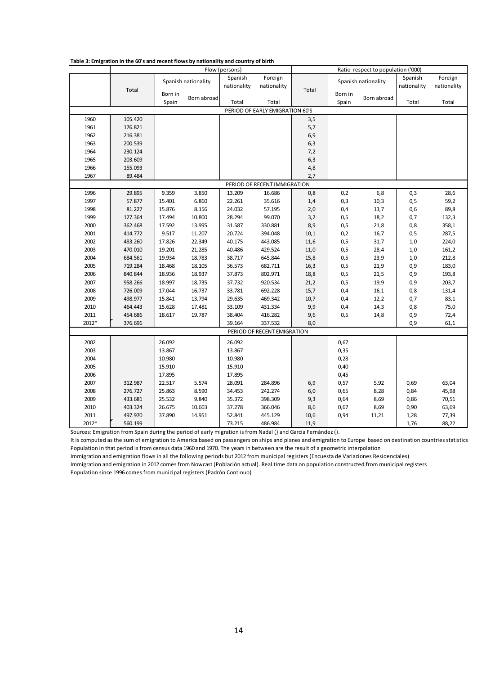|       |         | , able 5. Emigration in the 60 s and retent nows by nationally and country or birth<br>Flow (persons) |                     |             | Ratio respect to population ('000) |       |         |                     |             |             |
|-------|---------|-------------------------------------------------------------------------------------------------------|---------------------|-------------|------------------------------------|-------|---------|---------------------|-------------|-------------|
|       |         |                                                                                                       |                     | Spanish     | Foreign                            |       |         |                     | Spanish     | Foreign     |
|       |         |                                                                                                       | Spanish nationality | nationality | nationality                        |       |         | Spanish nationality | nationality | nationality |
|       | Total   | Born in                                                                                               |                     |             |                                    | Total | Born in |                     |             |             |
|       |         | Spain                                                                                                 | Born abroad         | Total       | Total                              |       | Spain   | Born abroad         | Total       | Total       |
|       |         |                                                                                                       |                     |             | PERIOD OF EARLY EMIGRATION 60'S    |       |         |                     |             |             |
| 1960  | 105.420 |                                                                                                       |                     |             |                                    | 3,5   |         |                     |             |             |
| 1961  | 176.821 |                                                                                                       |                     |             |                                    | 5,7   |         |                     |             |             |
| 1962  | 216.381 |                                                                                                       |                     |             |                                    | 6,9   |         |                     |             |             |
| 1963  | 200.539 |                                                                                                       |                     |             |                                    | 6,3   |         |                     |             |             |
| 1964  | 230.124 |                                                                                                       |                     |             |                                    | 7,2   |         |                     |             |             |
| 1965  | 203.609 |                                                                                                       |                     |             |                                    | 6,3   |         |                     |             |             |
| 1966  | 155.093 |                                                                                                       |                     |             |                                    | 4,8   |         |                     |             |             |
| 1967  | 89.484  |                                                                                                       |                     |             |                                    | 2,7   |         |                     |             |             |
|       |         |                                                                                                       |                     |             | PERIOD OF RECENT IMMIGRATION       |       |         |                     |             |             |
| 1996  | 29.895  | 9.359                                                                                                 | 3.850               | 13.209      | 16.686                             | 0,8   | 0,2     | 6,8                 | 0,3         | 28,6        |
| 1997  | 57.877  | 15.401                                                                                                | 6.860               | 22.261      | 35.616                             | 1,4   | 0,3     | 10,3                | 0, 5        | 59,2        |
| 1998  | 81.227  | 15.876                                                                                                | 8.156               | 24.032      | 57.195                             | 2,0   | 0,4     | 13,7                | 0,6         | 89,8        |
| 1999  | 127.364 | 17.494                                                                                                | 10.800              | 28.294      | 99.070                             | 3,2   | 0,5     | 18,2                | 0,7         | 132,3       |
| 2000  | 362.468 | 17.592                                                                                                | 13.995              | 31.587      | 330.881                            | 8,9   | 0,5     | 21,8                | 0,8         | 358,1       |
| 2001  | 414.772 | 9.517                                                                                                 | 11.207              | 20.724      | 394.048                            | 10,1  | 0,2     | 16,7                | 0, 5        | 287,5       |
| 2002  | 483.260 | 17.826                                                                                                | 22.349              | 40.175      | 443.085                            | 11,6  | 0,5     | 31,7                | 1,0         | 224,0       |
| 2003  | 470.010 | 19.201                                                                                                | 21.285              | 40.486      | 429.524                            | 11,0  | 0,5     | 28,4                | 1,0         | 161,2       |
| 2004  | 684.561 | 19.934                                                                                                | 18.783              | 38.717      | 645.844                            | 15,8  | 0, 5    | 23,9                | 1,0         | 212,8       |
| 2005  | 719.284 | 18.468                                                                                                | 18.105              | 36.573      | 682.711                            | 16,3  | 0,5     | 21,9                | 0,9         | 183,0       |
| 2006  | 840.844 | 18.936                                                                                                | 18.937              | 37.873      | 802.971                            | 18,8  | 0,5     | 21,5                | 0,9         | 193,8       |
| 2007  | 958.266 | 18.997                                                                                                | 18.735              | 37.732      | 920.534                            | 21,2  | 0,5     | 19,9                | 0,9         | 203,7       |
| 2008  | 726.009 | 17.044                                                                                                | 16.737              | 33.781      | 692.228                            | 15,7  | 0,4     | 16,1                | 0,8         | 131,4       |
| 2009  | 498.977 | 15.841                                                                                                | 13.794              | 29.635      | 469.342                            | 10,7  | 0,4     | 12,2                | 0,7         | 83,1        |
| 2010  | 464.443 | 15.628                                                                                                | 17.481              | 33.109      | 431.334                            | 9,9   | 0,4     | 14,3                | 0,8         | 75,0        |
| 2011  | 454.686 | 18.617                                                                                                | 19.787              | 38.404      | 416.282                            | 9,6   | 0,5     | 14,8                | 0,9         | 72,4        |
| 2012* | 376.696 |                                                                                                       |                     | 39.164      | 337.532                            | 8,0   |         |                     | 0,9         | 61,1        |
|       |         |                                                                                                       |                     |             | PERIOD OF RECENT EMIGRATION        |       |         |                     |             |             |
| 2002  |         | 26.092                                                                                                |                     | 26.092      |                                    |       | 0,67    |                     |             |             |
| 2003  |         | 13.867                                                                                                |                     | 13.867      |                                    |       | 0,35    |                     |             |             |
| 2004  |         | 10.980                                                                                                |                     | 10.980      |                                    |       | 0,28    |                     |             |             |
| 2005  |         | 15.910                                                                                                |                     | 15.910      |                                    |       | 0,40    |                     |             |             |
| 2006  |         | 17.895                                                                                                |                     | 17.895      |                                    |       | 0,45    |                     |             |             |
| 2007  | 312.987 | 22.517                                                                                                | 5.574               | 28.091      | 284.896                            | 6,9   | 0,57    | 5,92                | 0,69        | 63,04       |
| 2008  | 276.727 | 25.863                                                                                                | 8.590               | 34.453      | 242.274                            | $6,0$ | 0,65    | 8,28                | 0,84        | 45,98       |
| 2009  | 433.681 | 25.532                                                                                                | 9.840               | 35.372      | 398.309                            | 9,3   | 0,64    | 8,69                | 0,86        | 70,51       |
| 2010  | 403.324 | 26.675                                                                                                | 10.603              | 37.278      | 366.046                            | 8,6   | 0,67    | 8,69                | 0,90        | 63,69       |
| 2011  | 497.970 | 37.890                                                                                                | 14.951              | 52.841      | 445.129                            | 10,6  | 0,94    | 11,21               | 1,28        | 77,39       |
| 2012* | 560.199 |                                                                                                       |                     | 73.215      | 486.984                            | 11,9  |         |                     | 1,76        | 88,22       |

#### **Table 3: Emigration in the 60's and recent flows by nationality and country of birth**

Sources: Emigration from Spain during the period of early migration is from Nadal () and Garcia Fernández ().

It is computed as the sum of emigration to America based on passengers on ships and planes and emigration to Europe based on destination countries statistics Population in that period is from census data 1960 and 1970. The years in between are the result of a geometric interpolation

Immigration and emigration flows in all the following periods but 2012 from municipal registers (Encuesta de Variaciones Residenciales)

Immigration and emigration in 2012 comes from Nowcast (Población actual). Real time data on population constructed from municipal registers

Population since 1996 comes from municipal registers (Padrón Continuo)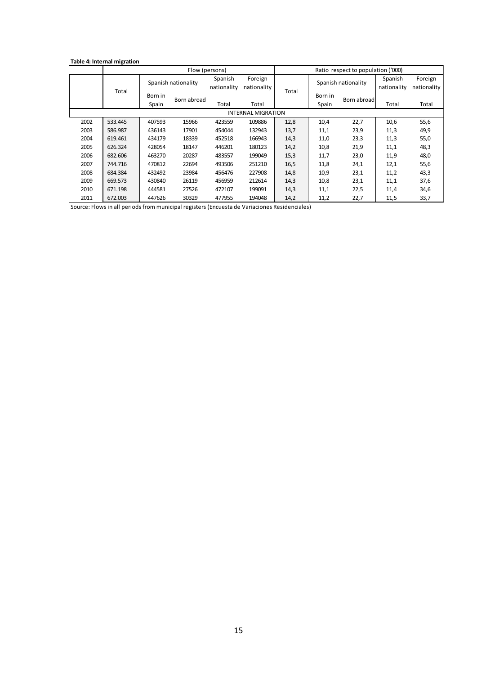#### **Table 4: Internal migration**

|      | Flow (persons) |                     |             |             | Ratio respect to population ('000) |       |         |                     |             |             |
|------|----------------|---------------------|-------------|-------------|------------------------------------|-------|---------|---------------------|-------------|-------------|
|      |                | Spanish nationality |             | Spanish     | Foreign                            |       |         | Spanish nationality | Spanish     | Foreign     |
|      | Total          |                     |             | nationality | nationality                        | Total |         |                     | nationality | nationality |
|      |                | Born in             | Born abroad |             |                                    |       | Born in | Born abroad         |             |             |
|      |                | Spain               |             | Total       | Total                              |       | Spain   |                     | Total       | Total       |
|      |                |                     |             |             | <b>INTERNAL MIGRATION</b>          |       |         |                     |             |             |
| 2002 | 533.445        | 407593              | 15966       | 423559      | 109886                             | 12,8  | 10,4    | 22,7                | 10,6        | 55,6        |
| 2003 | 586.987        | 436143              | 17901       | 454044      | 132943                             | 13,7  | 11,1    | 23,9                | 11,3        | 49,9        |
| 2004 | 619.461        | 434179              | 18339       | 452518      | 166943                             | 14,3  | 11,0    | 23,3                | 11,3        | 55,0        |
| 2005 | 626.324        | 428054              | 18147       | 446201      | 180123                             | 14,2  | 10,8    | 21,9                | 11,1        | 48,3        |
| 2006 | 682.606        | 463270              | 20287       | 483557      | 199049                             | 15,3  | 11,7    | 23,0                | 11,9        | 48,0        |
| 2007 | 744.716        | 470812              | 22694       | 493506      | 251210                             | 16,5  | 11,8    | 24,1                | 12,1        | 55,6        |
| 2008 | 684.384        | 432492              | 23984       | 456476      | 227908                             | 14,8  | 10,9    | 23,1                | 11,2        | 43,3        |
| 2009 | 669.573        | 430840              | 26119       | 456959      | 212614                             | 14,3  | 10,8    | 23,1                | 11,1        | 37,6        |
| 2010 | 671.198        | 444581              | 27526       | 472107      | 199091                             | 14,3  | 11,1    | 22,5                | 11,4        | 34,6        |
| 2011 | 672.003        | 447626              | 30329       | 477955      | 194048                             | 14,2  | 11,2    | 22,7                | 11,5        | 33,7        |

Source: Flows in all periods from municipal registers (Encuesta de Variaciones Residenciales)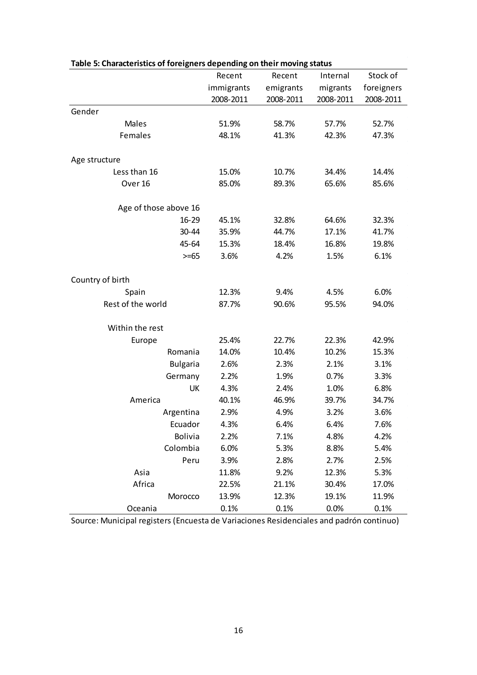| able 5. Characteristics of foreigners depending on their moving status | Recent     | Recent    | Internal  | Stock of   |
|------------------------------------------------------------------------|------------|-----------|-----------|------------|
|                                                                        | immigrants | emigrants | migrants  | foreigners |
|                                                                        | 2008-2011  | 2008-2011 | 2008-2011 | 2008-2011  |
| Gender                                                                 |            |           |           |            |
| Males                                                                  | 51.9%      | 58.7%     | 57.7%     | 52.7%      |
| Females                                                                | 48.1%      | 41.3%     | 42.3%     | 47.3%      |
|                                                                        |            |           |           |            |
| Age structure                                                          |            |           |           |            |
| Less than 16                                                           | 15.0%      | 10.7%     | 34.4%     | 14.4%      |
| Over 16                                                                | 85.0%      | 89.3%     | 65.6%     | 85.6%      |
|                                                                        |            |           |           |            |
| Age of those above 16                                                  |            |           |           |            |
| $16 - 29$                                                              | 45.1%      | 32.8%     | 64.6%     | 32.3%      |
| 30-44                                                                  | 35.9%      | 44.7%     | 17.1%     | 41.7%      |
| 45-64                                                                  | 15.3%      | 18.4%     | 16.8%     | 19.8%      |
| $>= 65$                                                                | 3.6%       | 4.2%      | 1.5%      | 6.1%       |
|                                                                        |            |           |           |            |
| Country of birth                                                       |            |           |           |            |
| Spain                                                                  | 12.3%      | 9.4%      | 4.5%      | 6.0%       |
| Rest of the world                                                      | 87.7%      | 90.6%     | 95.5%     | 94.0%      |
|                                                                        |            |           |           |            |
| Within the rest                                                        |            |           |           |            |
| Europe                                                                 | 25.4%      | 22.7%     | 22.3%     | 42.9%      |
| Romania                                                                | 14.0%      | 10.4%     | 10.2%     | 15.3%      |
| <b>Bulgaria</b>                                                        | 2.6%       | 2.3%      | 2.1%      | 3.1%       |
| Germany                                                                | 2.2%       | 1.9%      | 0.7%      | 3.3%       |
| UK                                                                     | 4.3%       | 2.4%      | 1.0%      | 6.8%       |
| America                                                                | 40.1%      | 46.9%     | 39.7%     | 34.7%      |
| Argentina                                                              | 2.9%       | 4.9%      | 3.2%      | 3.6%       |
| Ecuador                                                                | 4.3%       | 6.4%      | 6.4%      | 7.6%       |
| <b>Bolivia</b>                                                         | 2.2%       | 7.1%      | 4.8%      | 4.2%       |
| Colombia                                                               | 6.0%       | 5.3%      | 8.8%      | 5.4%       |
| Peru                                                                   | 3.9%       | 2.8%      | 2.7%      | 2.5%       |
| Asia                                                                   | 11.8%      | 9.2%      | 12.3%     | 5.3%       |
| Africa                                                                 | 22.5%      | 21.1%     | 30.4%     | 17.0%      |
| Morocco                                                                | 13.9%      | 12.3%     | 19.1%     | 11.9%      |
| Oceania                                                                | 0.1%       | 0.1%      | 0.0%      | 0.1%       |

Source: Municipal registers (Encuesta de Variaciones Residenciales and padrón continuo)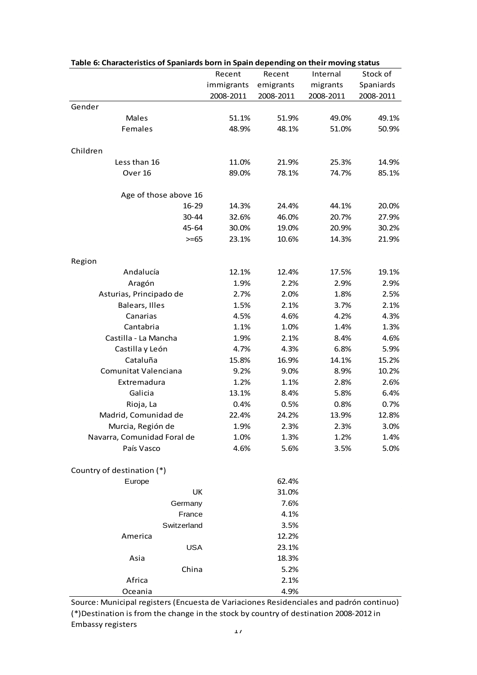| Table 6: Characteristics of Spaniards born in Spain depending on their moving status |            |           |           |           |  |  |  |  |
|--------------------------------------------------------------------------------------|------------|-----------|-----------|-----------|--|--|--|--|
|                                                                                      | Recent     | Recent    | Internal  | Stock of  |  |  |  |  |
|                                                                                      | immigrants | emigrants | migrants  | Spaniards |  |  |  |  |
|                                                                                      | 2008-2011  | 2008-2011 | 2008-2011 | 2008-2011 |  |  |  |  |
| Gender                                                                               |            |           |           |           |  |  |  |  |
| Males                                                                                | 51.1%      | 51.9%     | 49.0%     | 49.1%     |  |  |  |  |
| Females                                                                              | 48.9%      | 48.1%     | 51.0%     | 50.9%     |  |  |  |  |
| Children                                                                             |            |           |           |           |  |  |  |  |
| Less than 16                                                                         | 11.0%      | 21.9%     | 25.3%     | 14.9%     |  |  |  |  |
| Over 16                                                                              | 89.0%      | 78.1%     | 74.7%     | 85.1%     |  |  |  |  |
| Age of those above 16                                                                |            |           |           |           |  |  |  |  |
| $16 - 29$                                                                            | 14.3%      | 24.4%     | 44.1%     | 20.0%     |  |  |  |  |
| 30-44                                                                                | 32.6%      | 46.0%     | 20.7%     | 27.9%     |  |  |  |  |
| 45-64                                                                                | 30.0%      | 19.0%     | 20.9%     | 30.2%     |  |  |  |  |
| $>= 65$                                                                              | 23.1%      | 10.6%     | 14.3%     | 21.9%     |  |  |  |  |
| Region                                                                               |            |           |           |           |  |  |  |  |
| Andalucía                                                                            | 12.1%      | 12.4%     | 17.5%     | 19.1%     |  |  |  |  |
| Aragón                                                                               | 1.9%       | 2.2%      | 2.9%      | 2.9%      |  |  |  |  |
| Asturias, Principado de                                                              | 2.7%       | 2.0%      | 1.8%      | 2.5%      |  |  |  |  |
| Balears, Illes                                                                       | 1.5%       | 2.1%      | 3.7%      | 2.1%      |  |  |  |  |
| Canarias                                                                             | 4.5%       | 4.6%      | 4.2%      | 4.3%      |  |  |  |  |
| Cantabria                                                                            | 1.1%       | 1.0%      | 1.4%      | 1.3%      |  |  |  |  |
| Castilla - La Mancha                                                                 | 1.9%       | 2.1%      | 8.4%      | 4.6%      |  |  |  |  |
| Castilla y León                                                                      | 4.7%       | 4.3%      | 6.8%      | 5.9%      |  |  |  |  |
| Cataluña                                                                             | 15.8%      | 16.9%     | 14.1%     | 15.2%     |  |  |  |  |
| Comunitat Valenciana                                                                 | 9.2%       | 9.0%      | 8.9%      | 10.2%     |  |  |  |  |
| Extremadura                                                                          | 1.2%       | 1.1%      | 2.8%      | 2.6%      |  |  |  |  |
| Galicia                                                                              | 13.1%      | 8.4%      | 5.8%      | 6.4%      |  |  |  |  |
| Rioja, La                                                                            | 0.4%       | 0.5%      | 0.8%      | 0.7%      |  |  |  |  |
| Madrid, Comunidad de                                                                 | 22.4%      | 24.2%     | 13.9%     | 12.8%     |  |  |  |  |
| Murcia, Región de                                                                    | 1.9%       | 2.3%      | 2.3%      | 3.0%      |  |  |  |  |
| Navarra, Comunidad Foral de                                                          | 1.0%       | 1.3%      | 1.2%      | 1.4%      |  |  |  |  |
| País Vasco                                                                           | 4.6%       | 5.6%      | 3.5%      | 5.0%      |  |  |  |  |
| Country of destination (*)                                                           |            |           |           |           |  |  |  |  |
| Europe                                                                               |            | 62.4%     |           |           |  |  |  |  |
| UK                                                                                   |            | 31.0%     |           |           |  |  |  |  |
| Germany                                                                              |            | 7.6%      |           |           |  |  |  |  |
| France                                                                               |            | 4.1%      |           |           |  |  |  |  |
| Switzerland                                                                          |            | 3.5%      |           |           |  |  |  |  |
| America                                                                              |            | 12.2%     |           |           |  |  |  |  |
| <b>USA</b>                                                                           |            | 23.1%     |           |           |  |  |  |  |
| Asia                                                                                 |            | 18.3%     |           |           |  |  |  |  |
| China                                                                                |            | 5.2%      |           |           |  |  |  |  |
| Africa                                                                               |            | 2.1%      |           |           |  |  |  |  |
| Oceania                                                                              |            | 4.9%      |           |           |  |  |  |  |

Source: Municipal registers (Encuesta de Variaciones Residenciales and padrón continuo) (\*)Destination is from the change in the stock by country of destination 2008-2012 in Embassy registers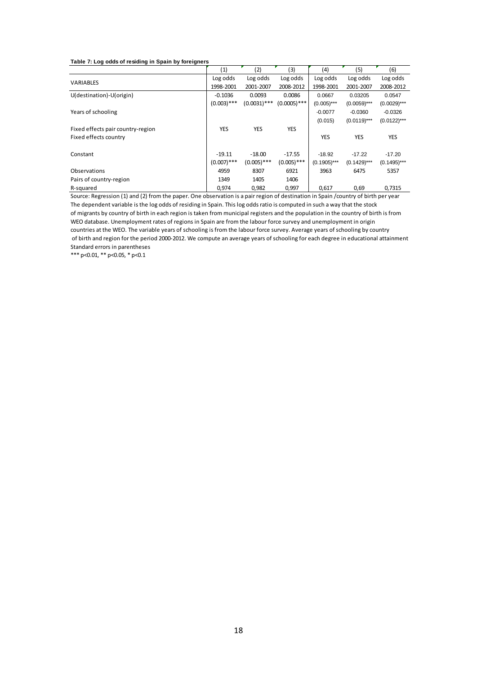#### **Table 7: Log odds of residing in Spain by foreigners**

|                                   | (1)           | (2)            | (3)            | (4)            | (5)            | (6)            |
|-----------------------------------|---------------|----------------|----------------|----------------|----------------|----------------|
|                                   | Log odds      | Log odds       | Log odds       | Log odds       | Log odds       | Log odds       |
| <b>VARIABLES</b>                  | 1998-2001     | 2001-2007      | 2008-2012      | 1998-2001      | 2001-2007      | 2008-2012      |
| U(destination)-U(origin)          | $-0.1036$     | 0.0093         | 0.0086         | 0.0667         | 0.03205        | 0.0547         |
|                                   | $(0.003)$ *** | $(0.0031)$ *** | $(0.0005)$ *** | $(0.005)$ ***  | $(0.0059)$ *** | $(0.0029)$ *** |
| Years of schooling                |               |                |                | $-0.0077$      | $-0.0360$      | $-0.0326$      |
|                                   |               |                |                | (0.015)        | $(0.0119)***$  | $(0.0122)***$  |
| Fixed effects pair country-region | YES           | <b>YES</b>     | <b>YES</b>     |                |                |                |
| Fixed effects country             |               |                |                | YES            | <b>YES</b>     | <b>YES</b>     |
|                                   |               |                |                |                |                |                |
| Constant                          | $-19.11$      | $-18.00$       | $-17.55$       | $-18.92$       | $-17.22$       | $-17.20$       |
|                                   | $(0.007)$ *** | $(0.005)$ ***  | $(0.005)$ ***  | $(0.1905)$ *** | $(0.1429)$ *** | $(0.1495)$ *** |
| Observations                      | 4959          | 8307           | 6921           | 3963           | 6475           | 5357           |
| Pairs of country-region           | 1349          | 1405           | 1406           |                |                |                |
| R-squared                         | 0,974         | 0,982          | 0,997          | 0,617          | 0,69           | 0,7315         |

The dependent variable is the log odds of residing in Spain. This log odds ratio is computed in such a way that the stock WEO database. Unemployment rates of regions in Spain are from the labour force survey and unemployment in origin countries at the WEO. The variable years of schooling is from the labour force survey. Average years of schooling by country of birth and region for the period 2000-2012. We compute an average years of schooling for each degree in educational attainment Standard errors in parentheses Source: Regression (1) and (2) from the paper. One observation is a pair region of destination in Spain /country of birth per year of migrants by country of birth in each region is taken from municipal registers and the population in the country of birth is from

\*\*\* p<0.01, \*\* p<0.05, \* p<0.1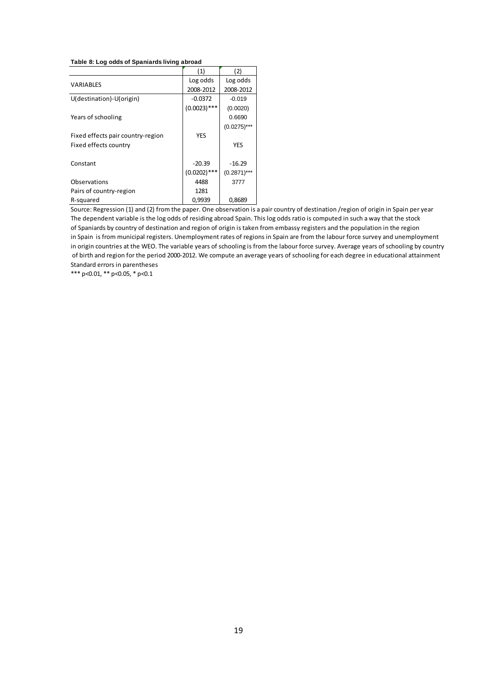#### **Table 8: Log odds of Spaniards living abroad**

|                                   | (1)            | (2)            |
|-----------------------------------|----------------|----------------|
| VARIABLES                         | Log odds       | Log odds       |
|                                   | 2008-2012      | 2008-2012      |
| U(destination)-U(origin)          | $-0.0372$      | $-0.019$       |
|                                   | $(0.0023)$ *** | (0.0020)       |
| Years of schooling                |                | 0.6690         |
|                                   |                | $(0.0275)$ *** |
| Fixed effects pair country-region | <b>YES</b>     |                |
| Fixed effects country             |                | YES            |
|                                   |                |                |
| Constant                          | $-20.39$       | $-16.29$       |
|                                   | $(0.0202)$ *** | $(0.2871)$ *** |
| Observations                      | 4488           | 3777           |
| Pairs of country-region           | 1281           |                |
| R-squared                         | 0,9939         | 0,8689         |

Standard errors in parentheses in origin countries at the WEO. The variable years of schooling is from the labour force survey. Average years of schooling by country of birth and region for the period 2000-2012. We compute an average years of schooling for each degree in educational attainment Source: Regression (1) and (2) from the paper. One observation is a pair country of destination /region of origin in Spain per year The dependent variable is the log odds of residing abroad Spain. This log odds ratio is computed in such a way that the stock of Spaniards by country of destination and region of origin is taken from embassy registers and the population in the region in Spain is from municipal registers. Unemployment rates of regions in Spain are from the labour force survey and unemployment

\*\*\* p<0.01, \*\* p<0.05, \* p<0.1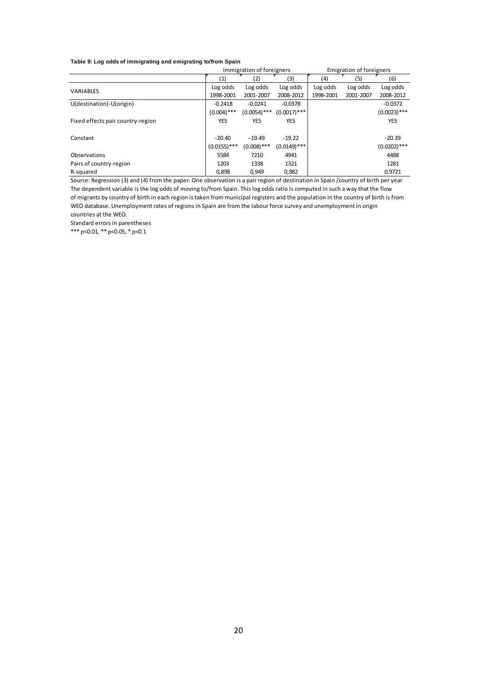#### **Table 9: Log odds of immigrating and emigrating to/from Spain**

|                                   |                | Immigration of foreigners |                | <b>Emigration of foreigners</b> |           |                |
|-----------------------------------|----------------|---------------------------|----------------|---------------------------------|-----------|----------------|
|                                   | (1)            | (2)                       | (3)            | (4)                             | (5)       | (6)            |
| <b>VARIABLES</b>                  | Log odds       | Log odds                  | Log odds       | Log odds                        | Log odds  | Log odds       |
|                                   | 1998-2001      | 2001-2007                 | 2008-2012      | 1998-2001                       | 2001-2007 | 2008-2012      |
| U(destination)-U(origin)          | $-0.2418$      | $-0.0241$                 | $-0.0378$      |                                 |           | $-0.0372$      |
|                                   | $(0.004)$ ***  | $(0.0054)$ ***            | $(0.0017)$ *** |                                 |           | $(0.0023)$ *** |
| Fixed effects pair country-region | YES            | YES                       | YES            |                                 |           | <b>YES</b>     |
|                                   |                |                           |                |                                 |           |                |
| Constant                          | $-20.40$       | $-19.49$                  | $-19.22$       |                                 |           | $-20.39$       |
|                                   | $(0.0155)$ *** | $(0.008)$ ***             | $(0.0149)$ *** |                                 |           | $(0.0202)$ *** |
| Observations                      | 5584           | 7210                      | 4941           |                                 |           | 4488           |
| Pairs of country-region           | 1203           | 1338                      | 1321           |                                 |           | 1281           |
| R-squared                         | 0,898          | 0.949                     | 0,982          |                                 |           | 0,9721         |

The dependent variable is the log odds of moving to/from Spain. This log odds ratio is computed in such a way that the flow WEO database. Unemployment rates of regions in Spain are from the labour force survey and unemployment in origin countries at the WEO. Source: Regression (3) and (4) from the paper. One observation is a pair region of destination in Spain /country of birth per year of migrants by country of birth in each region is taken from municipal registers and the population in the country of birth is from

Standard errors in parentheses

\*\*\* p<0.01, \*\* p<0.05, \* p<0.1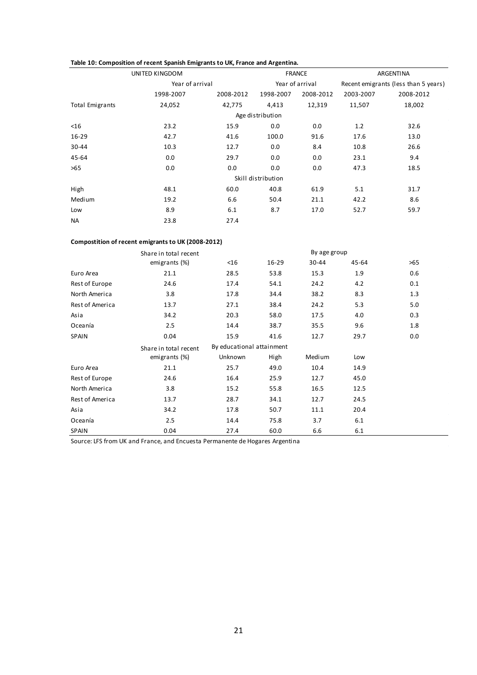|                        | UNITED KINGDOM  |           |                    | <b>FRANCE</b>   |                                      | ARGENTINA |  |
|------------------------|-----------------|-----------|--------------------|-----------------|--------------------------------------|-----------|--|
|                        | Year of arrival |           |                    | Year of arrival | Recent emigrants (less than 5 years) |           |  |
|                        | 1998-2007       | 2008-2012 | 1998-2007          | 2008-2012       | 2003-2007                            | 2008-2012 |  |
| <b>Total Emigrants</b> | 24,052          | 42,775    | 4,413              | 12,319          | 11,507                               | 18,002    |  |
|                        |                 |           | Age distribution   |                 |                                      |           |  |
| $<$ 16                 | 23.2            | 15.9      | 0.0                | 0.0             | 1.2                                  | 32.6      |  |
| $16 - 29$              | 42.7            | 41.6      | 100.0              | 91.6            | 17.6                                 | 13.0      |  |
| 30-44                  | 10.3            | 12.7      | 0.0                | 8.4             | 10.8                                 | 26.6      |  |
| 45-64                  | 0.0             | 29.7      | 0.0                | 0.0             | 23.1                                 | 9.4       |  |
| >65                    | 0.0             | 0.0       | 0.0                | 0.0             | 47.3                                 | 18.5      |  |
|                        |                 |           | Skill distribution |                 |                                      |           |  |
| High                   | 48.1            | 60.0      | 40.8               | 61.9            | 5.1                                  | 31.7      |  |
| Medium                 | 19.2            | 6.6       | 50.4               | 21.1            | 42.2                                 | 8.6       |  |
| Low                    | 8.9             | 6.1       | 8.7                | 17.0            | 52.7                                 | 59.7      |  |
| <b>NA</b>              | 23.8            | 27.4      |                    |                 |                                      |           |  |

#### **Compostition of recent emigrants to UK (2008-2012)**

|                 | Share in total recent |                           |           | By age group |       |     |
|-----------------|-----------------------|---------------------------|-----------|--------------|-------|-----|
|                 | emigrants (%)         | $<$ 16                    | $16 - 29$ | 30-44        | 45-64 | >65 |
| Euro Area       | 21.1                  | 28.5                      | 53.8      | 15.3         | 1.9   | 0.6 |
| Rest of Europe  | 24.6                  | 17.4                      | 54.1      | 24.2         | 4.2   | 0.1 |
| North America   | 3.8                   | 17.8                      | 34.4      | 38.2         | 8.3   | 1.3 |
| Rest of America | 13.7                  | 27.1                      | 38.4      | 24.2         | 5.3   | 5.0 |
| Asia            | 34.2                  | 20.3                      | 58.0      | 17.5         | 4.0   | 0.3 |
| Oceanía         | 2.5                   | 14.4                      | 38.7      | 35.5         | 9.6   | 1.8 |
| SPAIN           | 0.04                  | 15.9                      | 41.6      | 12.7         | 29.7  | 0.0 |
|                 | Share in total recent | By educational attainment |           |              |       |     |
|                 | emigrants (%)         | Unknown                   | High      | Medium       | Low   |     |
| Euro Area       | 21.1                  | 25.7                      | 49.0      | 10.4         | 14.9  |     |
| Rest of Europe  | 24.6                  | 16.4                      | 25.9      | 12.7         | 45.0  |     |
| North America   | 3.8                   | 15.2                      | 55.8      | 16.5         | 12.5  |     |
| Rest of America | 13.7                  | 28.7                      | 34.1      | 12.7         | 24.5  |     |
| Asia            | 34.2                  | 17.8                      | 50.7      | 11.1         | 20.4  |     |
| Oceanía         | 2.5                   | 14.4                      | 75.8      | 3.7          | 6.1   |     |
|                 |                       |                           |           |              |       |     |

Source: LFS from UK and France, and Encuesta Permanente de Hogares Argentina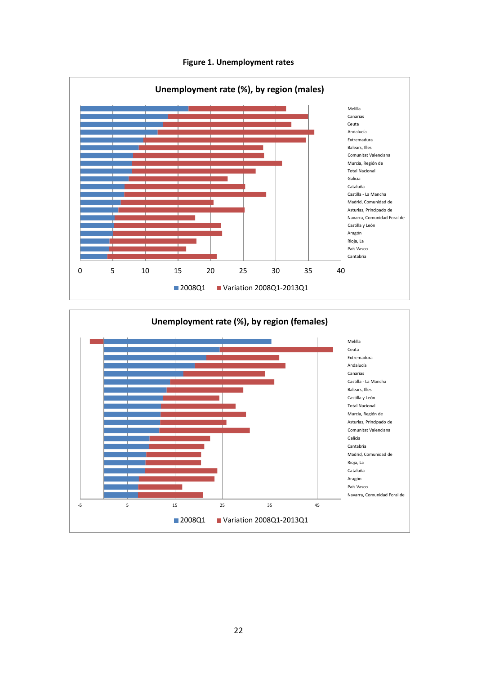



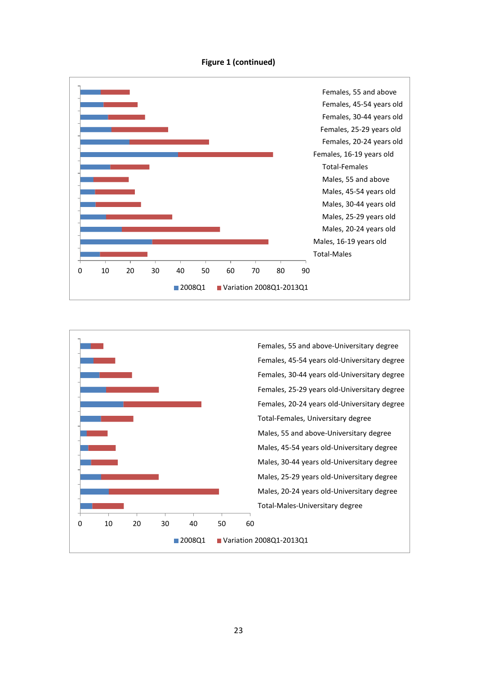



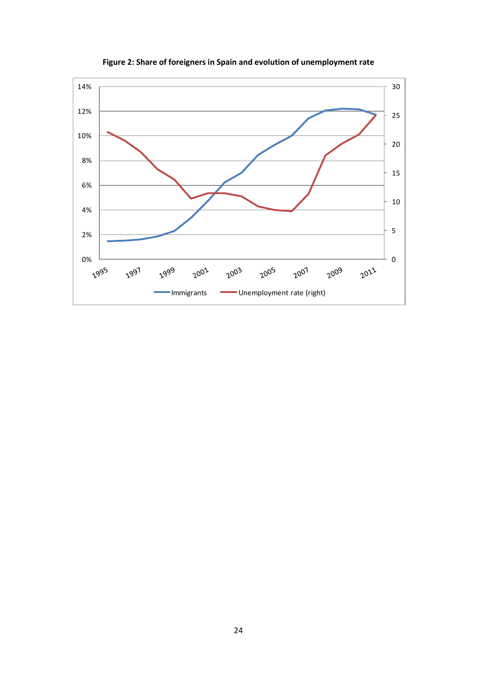

**Figure 2: Share of foreigners in Spain and evolution of unemployment rate**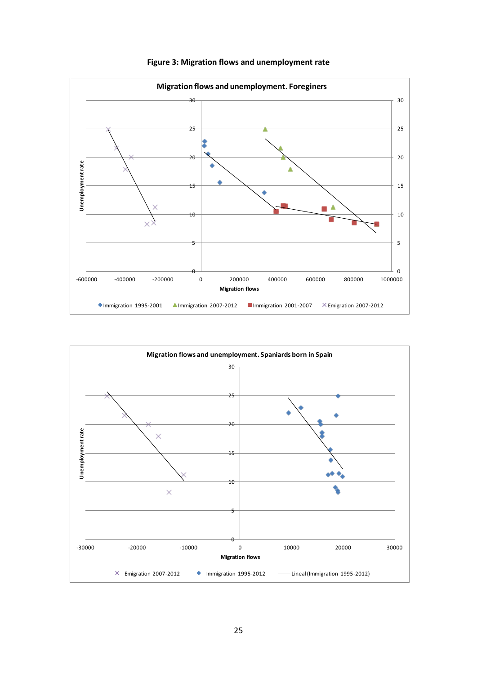

**Figure 3: Migration flows and unemployment rate**

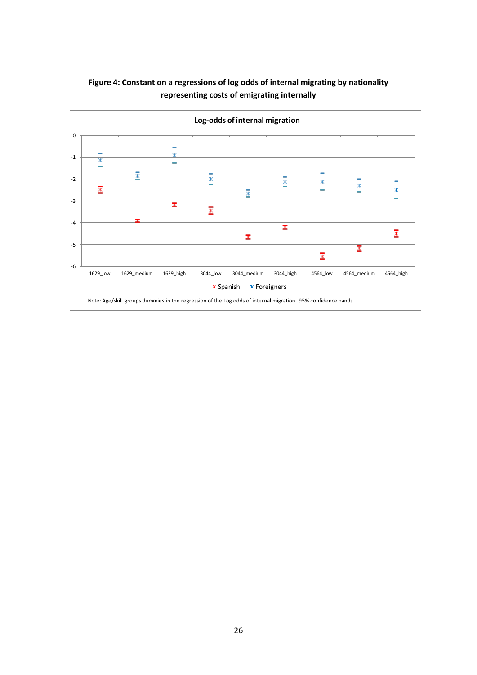

# **Figure 4: Constant on a regressions of log odds of internal migrating by nationality representing costs of emigrating internally**